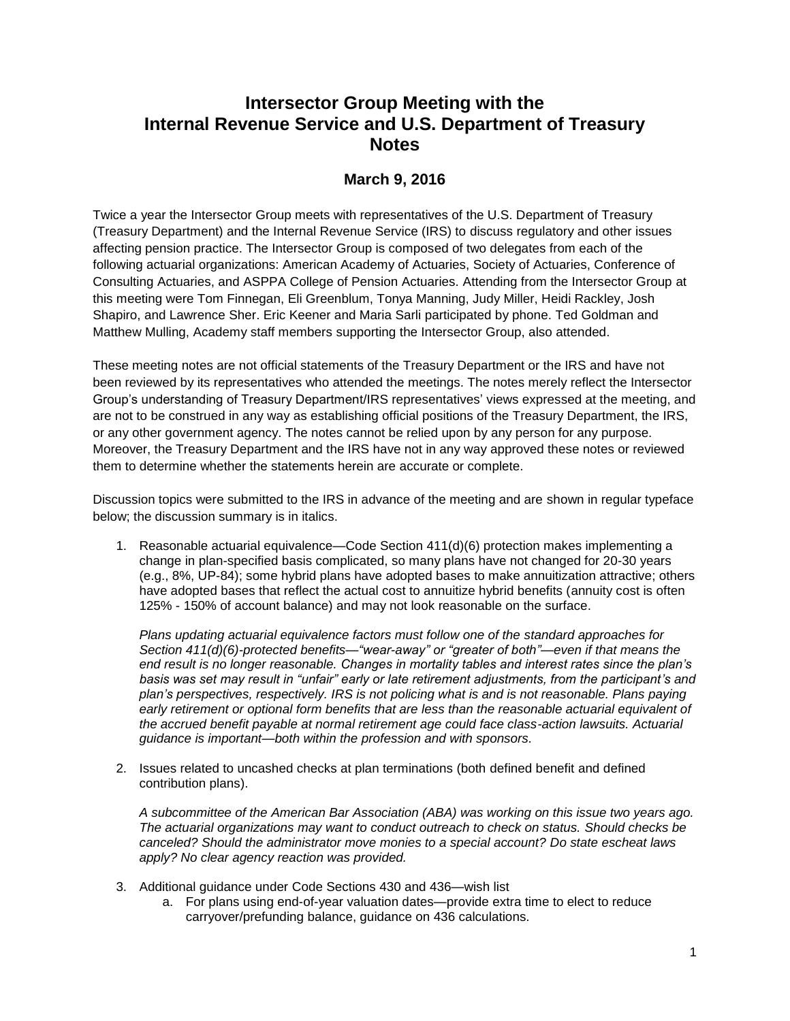## **Intersector Group Meeting with the Internal Revenue Service and U.S. Department of Treasury Notes**

## **March 9, 2016**

Twice a year the Intersector Group meets with representatives of the U.S. Department of Treasury (Treasury Department) and the Internal Revenue Service (IRS) to discuss regulatory and other issues affecting pension practice. The Intersector Group is composed of two delegates from each of the following actuarial organizations: American Academy of Actuaries, Society of Actuaries, Conference of Consulting Actuaries, and ASPPA College of Pension Actuaries. Attending from the Intersector Group at this meeting were Tom Finnegan, Eli Greenblum, Tonya Manning, Judy Miller, Heidi Rackley, Josh Shapiro, and Lawrence Sher. Eric Keener and Maria Sarli participated by phone. Ted Goldman and Matthew Mulling, Academy staff members supporting the Intersector Group, also attended.

These meeting notes are not official statements of the Treasury Department or the IRS and have not been reviewed by its representatives who attended the meetings. The notes merely reflect the Intersector Group's understanding of Treasury Department/IRS representatives' views expressed at the meeting, and are not to be construed in any way as establishing official positions of the Treasury Department, the IRS, or any other government agency. The notes cannot be relied upon by any person for any purpose. Moreover, the Treasury Department and the IRS have not in any way approved these notes or reviewed them to determine whether the statements herein are accurate or complete.

Discussion topics were submitted to the IRS in advance of the meeting and are shown in regular typeface below; the discussion summary is in italics.

1. Reasonable actuarial equivalence—Code Section 411(d)(6) protection makes implementing a change in plan-specified basis complicated, so many plans have not changed for 20-30 years (e.g., 8%, UP-84); some hybrid plans have adopted bases to make annuitization attractive; others have adopted bases that reflect the actual cost to annuitize hybrid benefits (annuity cost is often 125% - 150% of account balance) and may not look reasonable on the surface.

*Plans updating actuarial equivalence factors must follow one of the standard approaches for Section 411(d)(6)-protected benefits—"wear-away" or "greater of both"—even if that means the end result is no longer reasonable. Changes in mortality tables and interest rates since the plan's basis was set may result in "unfair" early or late retirement adjustments, from the participant's and plan's perspectives, respectively. IRS is not policing what is and is not reasonable. Plans paying early retirement or optional form benefits that are less than the reasonable actuarial equivalent of the accrued benefit payable at normal retirement age could face class-action lawsuits. Actuarial guidance is important—both within the profession and with sponsors.* 

2. Issues related to uncashed checks at plan terminations (both defined benefit and defined contribution plans).

*A subcommittee of the American Bar Association (ABA) was working on this issue two years ago. The actuarial organizations may want to conduct outreach to check on status. Should checks be canceled? Should the administrator move monies to a special account? Do state escheat laws apply? No clear agency reaction was provided.*

- 3. Additional guidance under Code Sections 430 and 436—wish list
	- a. For plans using end-of-year valuation dates—provide extra time to elect to reduce carryover/prefunding balance, guidance on 436 calculations.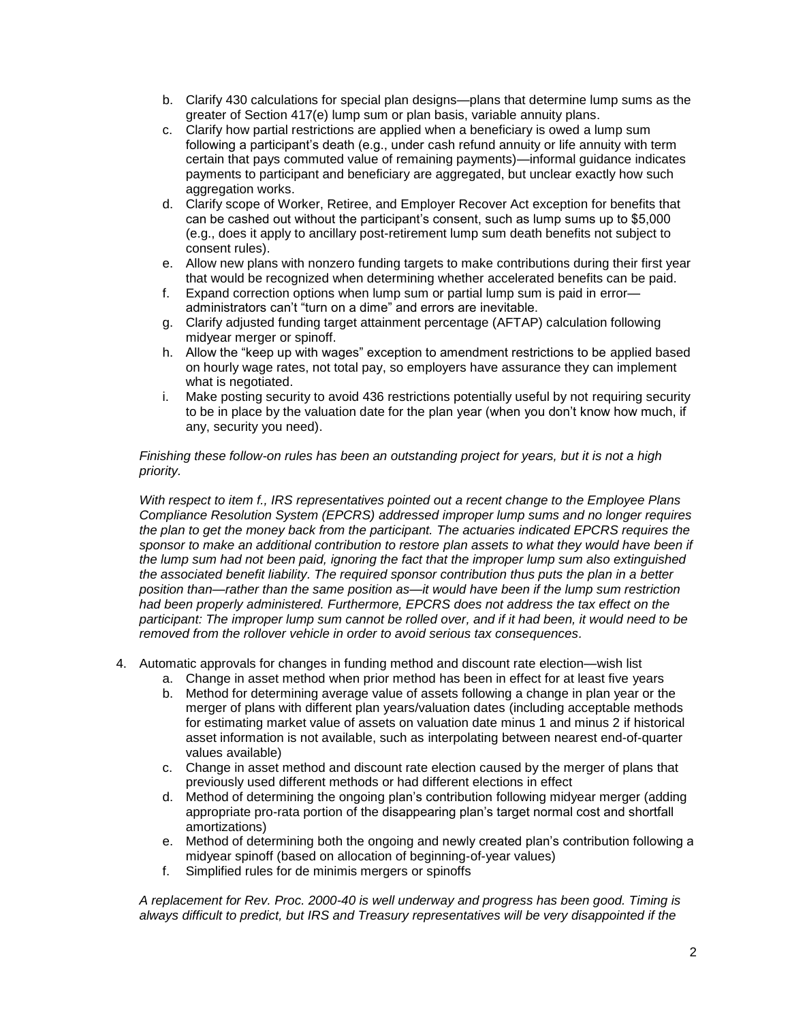- b. Clarify 430 calculations for special plan designs—plans that determine lump sums as the greater of Section 417(e) lump sum or plan basis, variable annuity plans.
- c. Clarify how partial restrictions are applied when a beneficiary is owed a lump sum following a participant's death (e.g., under cash refund annuity or life annuity with term certain that pays commuted value of remaining payments)—informal guidance indicates payments to participant and beneficiary are aggregated, but unclear exactly how such aggregation works.
- d. Clarify scope of Worker, Retiree, and Employer Recover Act exception for benefits that can be cashed out without the participant's consent, such as lump sums up to \$5,000 (e.g., does it apply to ancillary post-retirement lump sum death benefits not subject to consent rules).
- e. Allow new plans with nonzero funding targets to make contributions during their first year that would be recognized when determining whether accelerated benefits can be paid.
- f. Expand correction options when lump sum or partial lump sum is paid in error administrators can't "turn on a dime" and errors are inevitable.
- g. Clarify adjusted funding target attainment percentage (AFTAP) calculation following midyear merger or spinoff.
- h. Allow the "keep up with wages" exception to amendment restrictions to be applied based on hourly wage rates, not total pay, so employers have assurance they can implement what is negotiated.
- i. Make posting security to avoid 436 restrictions potentially useful by not requiring security to be in place by the valuation date for the plan year (when you don't know how much, if any, security you need).

*Finishing these follow-on rules has been an outstanding project for years, but it is not a high priority.* 

*With respect to item f., IRS representatives pointed out a recent change to the Employee Plans Compliance Resolution System (EPCRS) addressed improper lump sums and no longer requires the plan to get the money back from the participant. The actuaries indicated EPCRS requires the*  sponsor to make an additional contribution to restore plan assets to what they would have been if *the lump sum had not been paid, ignoring the fact that the improper lump sum also extinguished the associated benefit liability. The required sponsor contribution thus puts the plan in a better position than—rather than the same position as—it would have been if the lump sum restriction had been properly administered. Furthermore, EPCRS does not address the tax effect on the*  participant: The improper lump sum cannot be rolled over, and if it had been, it would need to be *removed from the rollover vehicle in order to avoid serious tax consequences.*

- 4. Automatic approvals for changes in funding method and discount rate election—wish list
	- a. Change in asset method when prior method has been in effect for at least five years
	- b. Method for determining average value of assets following a change in plan year or the merger of plans with different plan years/valuation dates (including acceptable methods for estimating market value of assets on valuation date minus 1 and minus 2 if historical asset information is not available, such as interpolating between nearest end-of-quarter values available)
	- c. Change in asset method and discount rate election caused by the merger of plans that previously used different methods or had different elections in effect
	- d. Method of determining the ongoing plan's contribution following midyear merger (adding appropriate pro-rata portion of the disappearing plan's target normal cost and shortfall amortizations)
	- e. Method of determining both the ongoing and newly created plan's contribution following a midyear spinoff (based on allocation of beginning-of-year values)
	- f. Simplified rules for de minimis mergers or spinoffs

*A replacement for Rev. Proc. 2000-40 is well underway and progress has been good. Timing is always difficult to predict, but IRS and Treasury representatives will be very disappointed if the*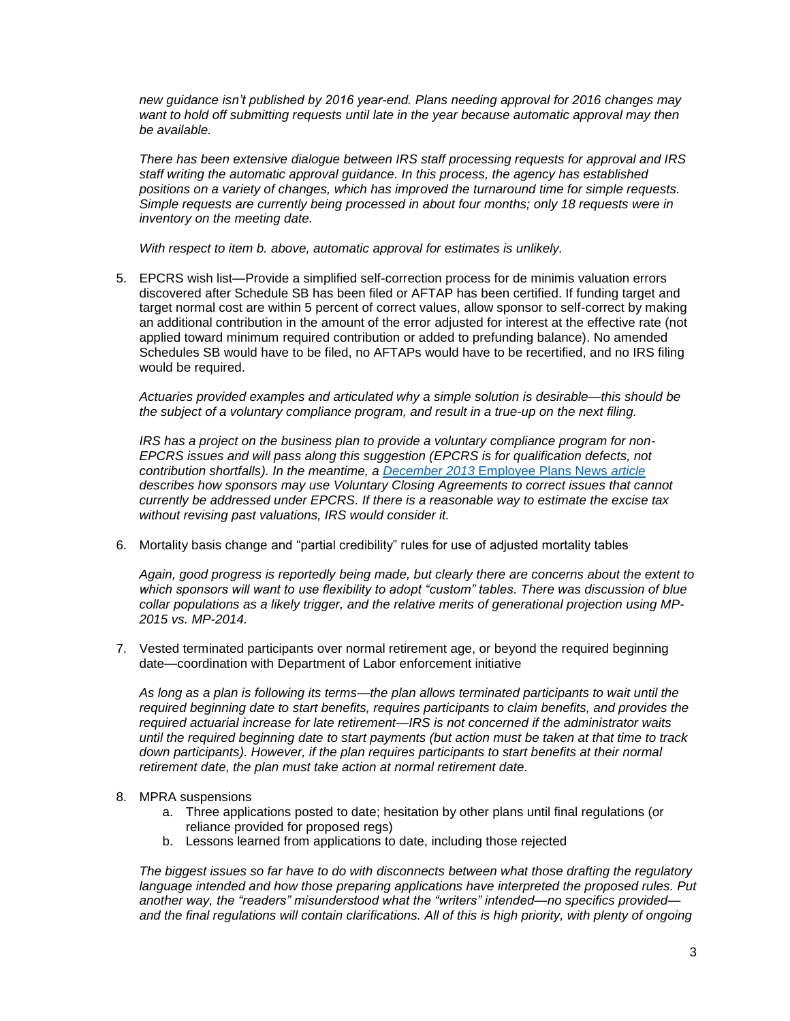*new guidance isn't published by 2016 year-end. Plans needing approval for 2016 changes may want to hold off submitting requests until late in the year because automatic approval may then be available.* 

*There has been extensive dialogue between IRS staff processing requests for approval and IRS staff writing the automatic approval guidance. In this process, the agency has established positions on a variety of changes, which has improved the turnaround time for simple requests. Simple requests are currently being processed in about four months; only 18 requests were in inventory on the meeting date.* 

*With respect to item b. above, automatic approval for estimates is unlikely.*

5. EPCRS wish list—Provide a simplified self-correction process for de minimis valuation errors discovered after Schedule SB has been filed or AFTAP has been certified. If funding target and target normal cost are within 5 percent of correct values, allow sponsor to self-correct by making an additional contribution in the amount of the error adjusted for interest at the effective rate (not applied toward minimum required contribution or added to prefunding balance). No amended Schedules SB would have to be filed, no AFTAPs would have to be recertified, and no IRS filing would be required.

*Actuaries provided examples and articulated why a simple solution is desirable—this should be the subject of a voluntary compliance program, and result in a true-up on the next filing.* 

*IRS has a project on the business plan to provide a voluntary compliance program for non-EPCRS issues and will pass along this suggestion (EPCRS is for qualification defects, not contribution shortfalls). In the meantime, a December 2013* [Employee Plans News](https://www.irs.gov/pub/irs-tege/epn_2013_10.pdf) *article describes how sponsors may use Voluntary Closing Agreements to correct issues that cannot currently be addressed under EPCRS. If there is a reasonable way to estimate the excise tax without revising past valuations, IRS would consider it.*

6. Mortality basis change and "partial credibility" rules for use of adjusted mortality tables

*Again, good progress is reportedly being made, but clearly there are concerns about the extent to which sponsors will want to use flexibility to adopt "custom" tables. There was discussion of blue collar populations as a likely trigger, and the relative merits of generational projection using MP-2015 vs. MP-2014.*

7. Vested terminated participants over normal retirement age, or beyond the required beginning date—coordination with Department of Labor enforcement initiative

*As long as a plan is following its terms—the plan allows terminated participants to wait until the required beginning date to start benefits, requires participants to claim benefits, and provides the required actuarial increase for late retirement—IRS is not concerned if the administrator waits until the required beginning date to start payments (but action must be taken at that time to track down participants). However, if the plan requires participants to start benefits at their normal retirement date, the plan must take action at normal retirement date.*

- 8. MPRA suspensions
	- a. Three applications posted to date; hesitation by other plans until final regulations (or reliance provided for proposed regs)
	- b. Lessons learned from applications to date, including those rejected

*The biggest issues so far have to do with disconnects between what those drafting the regulatory language intended and how those preparing applications have interpreted the proposed rules. Put another way, the "readers" misunderstood what the "writers" intended—no specifics provided and the final regulations will contain clarifications. All of this is high priority, with plenty of ongoing*